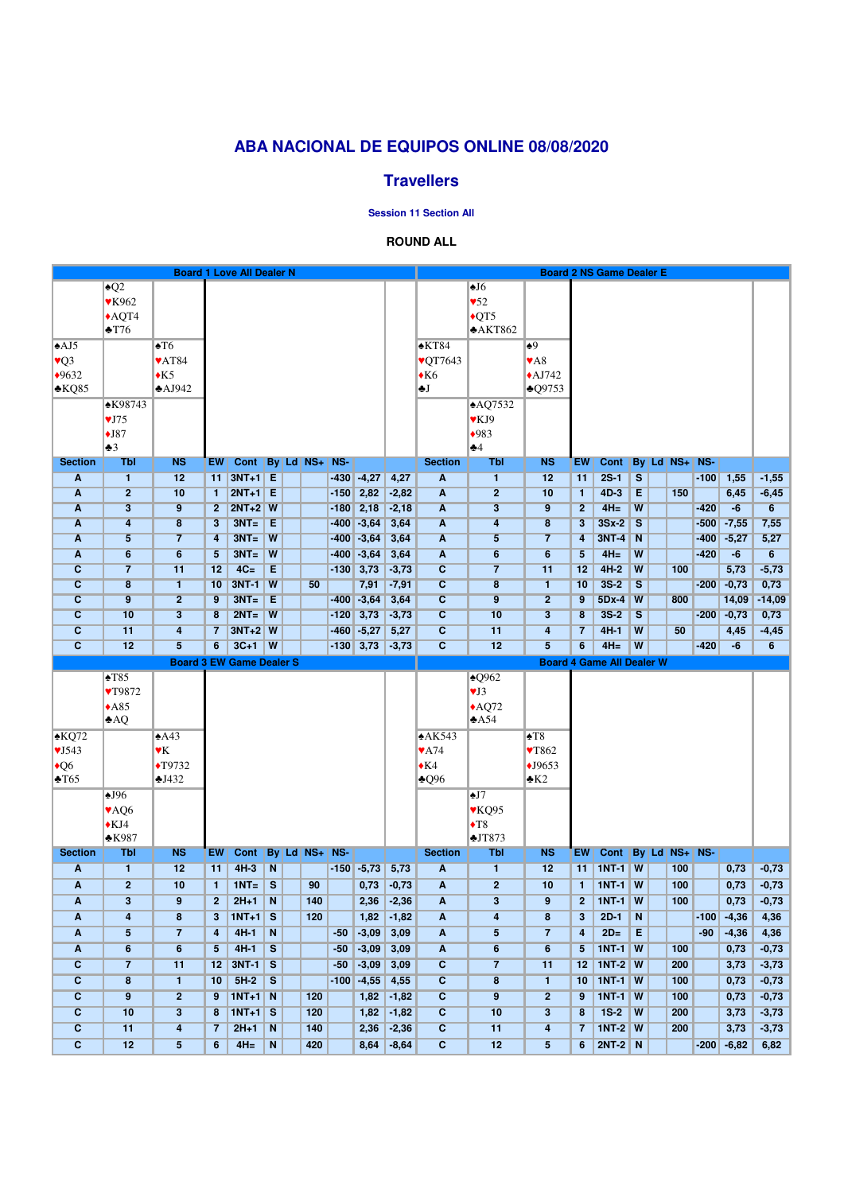|                                  |                           |                         |                         | <b>Board 1 Love All Dealer N</b> |                         |  |            |        | <b>Board 2 NS Game Dealer E</b> |                    |                                  |                              |                          |                 |                                  |                         |  |               |        |                       |                 |
|----------------------------------|---------------------------|-------------------------|-------------------------|----------------------------------|-------------------------|--|------------|--------|---------------------------------|--------------------|----------------------------------|------------------------------|--------------------------|-----------------|----------------------------------|-------------------------|--|---------------|--------|-----------------------|-----------------|
|                                  | $\overline{Q2}$           |                         |                         |                                  |                         |  |            |        |                                 |                    |                                  | $\overline{•}$ <sup>16</sup> |                          |                 |                                  |                         |  |               |        |                       |                 |
|                                  | <b>▼K962</b>              |                         |                         |                                  |                         |  |            |        |                                 |                    |                                  | $\blacktriangledown 52$      |                          |                 |                                  |                         |  |               |        |                       |                 |
|                                  | $\triangle$ AQT4          |                         |                         |                                  |                         |  |            |        |                                 |                    |                                  | $\sqrt{\text{QT5}}$          |                          |                 |                                  |                         |  |               |        |                       |                 |
|                                  | $\cdot$ T76               |                         |                         |                                  |                         |  |            |        |                                 |                    |                                  | AKT862                       |                          |                 |                                  |                         |  |               |        |                       |                 |
| $\triangle$ AJ5                  |                           | $\blacktriangle$ T6     |                         |                                  |                         |  |            |        |                                 |                    | $\triangle$ KT84                 |                              | $\bullet$ <sup>9</sup>   |                 |                                  |                         |  |               |        |                       |                 |
| $\sqrt{Q}$ 3                     |                           | <b>VAT84</b>            |                         |                                  |                         |  |            |        |                                 |                    | $\text{VOT}7643$                 |                              | $\blacktriangledown$ A8  |                 |                                  |                         |  |               |        |                       |                 |
| $*9632$                          |                           | $\triangle$ K5          |                         |                                  |                         |  |            |        |                                 |                    | $\blacktriangleright$ K6         |                              | $\triangle$ AJ742        |                 |                                  |                         |  |               |        |                       |                 |
| $*KQ85$                          |                           | $\triangle$ AJ942       |                         |                                  |                         |  |            |        |                                 |                    | ÷J                               |                              | $\triangle Q9753$        |                 |                                  |                         |  |               |        |                       |                 |
|                                  | <b>*K98743</b>            |                         |                         |                                  |                         |  |            |        |                                 |                    |                                  | AQ7532                       |                          |                 |                                  |                         |  |               |        |                       |                 |
|                                  | VJ75                      |                         |                         |                                  |                         |  |            |        |                                 |                    |                                  | $V$ KJ9                      |                          |                 |                                  |                         |  |               |        |                       |                 |
|                                  | $\bigstar$ J87            |                         |                         |                                  |                         |  |            |        |                                 |                    |                                  | $*983$                       |                          |                 |                                  |                         |  |               |        |                       |                 |
|                                  | $\clubsuit 3$             |                         |                         |                                  |                         |  |            |        |                                 |                    |                                  | $\clubsuit 4$                |                          |                 |                                  |                         |  |               |        |                       |                 |
| <b>Section</b>                   | <b>Tbl</b>                | <b>NS</b>               | <b>EW</b>               | Cont   By   Ld   NS+             |                         |  |            | NS-    |                                 |                    | <b>Section</b>                   | <b>Tbl</b>                   | <b>NS</b>                | <b>EW</b>       | <b>Cont</b>                      |                         |  | By Ld NS+ NS- |        |                       |                 |
| A                                | $\overline{\mathbf{1}}$   | 12                      |                         | 11   3NT+1   E                   |                         |  |            |        | $-430$ $-4,27$                  | 4,27               | $\overline{\mathbf{A}}$          | $\overline{1}$               | 12                       | 11              | $2S-1$                           | $\overline{\mathbf{s}}$ |  |               |        | $-100$ 1,55           | $-1,55$         |
| $\overline{\mathbf{A}}$          | $\overline{2}$            | 10                      |                         | $1$   2NT+1   E                  |                         |  |            | $-150$ | 2,82                            | $-2,82$            | $\overline{\mathbf{A}}$          | $\overline{2}$               | 10                       | 1.              | $4D-3$                           | Ε                       |  | 150           |        | 6,45                  | $-6,45$         |
| $\overline{\mathbf{A}}$          | $\overline{\mathbf{3}}$   | $\overline{9}$          |                         | $2$   2NT+2   W                  |                         |  |            |        | $-180$ 2,18                     | $-2,18$            | $\overline{\mathbf{A}}$          | $\overline{\mathbf{3}}$      | $\overline{9}$           | $\overline{2}$  | $4H=$                            | $\overline{\mathbf{W}}$ |  |               | $-420$ | $-6$                  | 6               |
| A                                | $\overline{4}$            | $\overline{\mathbf{8}}$ | $\overline{3}$          | $3NT =  E $                      |                         |  |            |        | $-400$ $-3,64$                  | 3,64               | $\overline{\mathbf{A}}$          | 4                            | $\overline{\mathbf{8}}$  | $\overline{3}$  | $3Sx-2$                          | $\overline{\mathbf{s}}$ |  |               | $-500$ | $-7,55$               | 7,55            |
| $\blacktriangle$                 | $\overline{5}$            | $\overline{7}$          | $\overline{\mathbf{4}}$ | $3NT =$                          | $\overline{w}$          |  |            |        | $-400$ $-3,64$                  | 3,64               | $\overline{\mathbf{A}}$          | $\overline{5}$               | $\overline{7}$           | 4               | <b>3NT-4</b>                     | $\overline{\mathsf{N}}$ |  |               | $-400$ | $-5,27$               | 5,27            |
| $\overline{\mathbf{A}}$          | $6\overline{6}$           | $6\overline{6}$         | $5\overline{)}$         | $3NT =$                          | $\overline{\mathsf{W}}$ |  |            |        | $-400$ $-3,64$                  | 3,64               | $\overline{\mathbf{A}}$          | $6\overline{6}$              | $6\overline{6}$          | $5\overline{)}$ | $4H=$                            | W                       |  |               | $-420$ | $-6$                  | $6\overline{6}$ |
| $\overline{c}$                   | $\overline{7}$            | 11                      | 12                      | $4C=$                            | Ε                       |  |            |        | $-130$ 3,73                     | $-3,73$            | $\overline{c}$                   | $\overline{7}$               | 11                       | 12              | $4H-2$                           | $\overline{w}$          |  | 100           |        |                       |                 |
|                                  |                           |                         |                         |                                  |                         |  |            |        |                                 |                    |                                  |                              |                          |                 |                                  |                         |  |               |        | 5,73                  | $-5,73$         |
| $\overline{\mathbf{c}}$          | $\overline{\mathbf{8}}$   | $\mathbf{1}$            | 10                      | <b>3NT-1   W</b>                 |                         |  | 50         |        | 7,91                            | $-7,91$            | $\overline{\mathbf{c}}$          | $\overline{\mathbf{8}}$      | $\mathbf{1}$             | 10              | $3S-2$                           | $\overline{\mathbf{s}}$ |  |               | $-200$ | $-0,73$               | 0,73            |
| $\overline{c}$                   | $\overline{9}$            | $\overline{2}$          | 9                       | $3NT =$                          | ĪΕ                      |  |            |        | $-400$ $-3,64$                  | 3,64               | $\overline{\mathbf{c}}$          | $\overline{9}$               | $\overline{2}$           | 9               | 5Dx-4 W                          |                         |  | 800           |        | 14,09                 | $-14,09$        |
| $\overline{\mathbf{c}}$          | 10                        | $\overline{\mathbf{3}}$ | 8                       | $2NT =$                          | $\overline{\mathbf{W}}$ |  |            |        | $-120$ 3,73                     | $-3,73$            | $\overline{\mathbf{c}}$          | 10                           | $\overline{\mathbf{3}}$  | 8               | $3S-2$                           | $\overline{\mathbf{s}}$ |  |               | $-200$ | $-0,73$               | 0,73            |
| $\overline{c}$                   | 11                        | $\overline{\mathbf{4}}$ | $\mathbf{7}$            | $3NT+2$ W                        |                         |  |            |        | $-460$ $-5,27$                  | 5,27               | $\overline{c}$                   | 11                           | $\overline{\mathbf{4}}$  | 7               | $4H-1$                           | $\overline{\mathbf{w}}$ |  | 50            |        | 4,45                  | $-4,45$         |
| $\overline{c}$                   | 12                        | $\overline{5}$          | $6\overline{6}$         | $3C+1$ W                         |                         |  |            |        | $-130$ 3,73                     | $-3,73$            | $\overline{c}$                   | 12                           | 5 <sup>5</sup>           | 6               | $4H=$                            | W                       |  |               | $-420$ | $-6$                  | 6               |
|                                  |                           |                         |                         |                                  |                         |  |            |        |                                 |                    |                                  |                              |                          |                 |                                  |                         |  |               |        |                       |                 |
|                                  |                           |                         |                         | <b>Board 3 EW Game Dealer S</b>  |                         |  |            |        |                                 |                    |                                  |                              |                          |                 | <b>Board 4 Game All Dealer W</b> |                         |  |               |        |                       |                 |
|                                  | $\blacktriangle$ T85      |                         |                         |                                  |                         |  |            |        |                                 |                    |                                  | $\triangle Q962$             |                          |                 |                                  |                         |  |               |        |                       |                 |
|                                  | <b>▼T9872</b>             |                         |                         |                                  |                         |  |            |        |                                 |                    |                                  | VJ3                          |                          |                 |                                  |                         |  |               |        |                       |                 |
|                                  | $*A85$                    |                         |                         |                                  |                         |  |            |        |                                 |                    |                                  | $\triangle$ AQ72             |                          |                 |                                  |                         |  |               |        |                       |                 |
|                                  | AQ                        |                         |                         |                                  |                         |  |            |        |                                 |                    |                                  | $\triangle$ A54              |                          |                 |                                  |                         |  |               |        |                       |                 |
| KQ72                             |                           | $\triangle$ A43         |                         |                                  |                         |  |            |        |                                 |                    | A K543                           |                              | $\blacktriangle$ T8      |                 |                                  |                         |  |               |        |                       |                 |
| $\sqrt{J}$ 543                   |                           | $\mathbf{Y}$ K          |                         |                                  |                         |  |            |        |                                 |                    | $\blacktriangledown$ A74         |                              | $\blacktriangledown 862$ |                 |                                  |                         |  |               |        |                       |                 |
| $\triangle$ Q6                   |                           | $\blacklozenge$ T9732   |                         |                                  |                         |  |            |        |                                 |                    | $\blacklozenge$ K4               |                              | $\bigstar$ J9653         |                 |                                  |                         |  |               |        |                       |                 |
| $\triangle$ T65                  |                           | $\triangle$ J432        |                         |                                  |                         |  |            |        |                                 |                    | $\triangle$ Q96                  |                              | $\triangle K2$           |                 |                                  |                         |  |               |        |                       |                 |
|                                  | $\triangle$ J $96$        |                         |                         |                                  |                         |  |            |        |                                 |                    |                                  | $\triangle$ J $7$            |                          |                 |                                  |                         |  |               |        |                       |                 |
|                                  | $\blacktriangleright$ AQ6 |                         |                         |                                  |                         |  |            |        |                                 |                    |                                  | $\blacktriangledown$ KQ95    |                          |                 |                                  |                         |  |               |        |                       |                 |
|                                  | $\triangle$ KJ4           |                         |                         |                                  |                         |  |            |        |                                 |                    |                                  | $\blacklozenge$ T8           |                          |                 |                                  |                         |  |               |        |                       |                 |
|                                  | $*K987$                   |                         |                         |                                  |                         |  |            |        |                                 |                    |                                  | JTS73                        |                          |                 |                                  |                         |  |               |        |                       |                 |
| <b>Section</b>                   | <b>Tbl</b>                | <b>NS</b>               | <b>EW</b>               | <b>Cont</b>                      |                         |  | By Ld NS+  | NS-    |                                 |                    | <b>Section</b>                   | <b>Tbl</b>                   | <b>NS</b>                | <b>EW</b>       | Cont By Ld NS+ NS-               |                         |  |               |        |                       |                 |
| $\mathbf{A}$                     | $\mathbf{1}$              | 12                      | 11                      | $4H-3$                           | N                       |  |            |        | $-150$ $-5,73$                  | 5,73               | $\boldsymbol{A}$                 | $\overline{1}$               | 12                       | 11              | $INT-1$ W                        |                         |  | 100           |        | 0,73                  | $-0,73$         |
| $\overline{\mathbf{A}}$          | $\overline{2}$            | 10                      | $\mathbf{1}$            | $1NT =$                          | $\overline{\mathsf{S}}$ |  | 90         |        | 0,73                            | $-0,73$            | $\overline{\mathbf{A}}$          | $\overline{2}$               | 10                       | 1.              | $1NT-1$ W                        |                         |  | 100           |        | 0,73                  | $-0,73$         |
| $\mathbf{A}$                     | $3\phantom{a}$            | 9                       | 2 <sup>2</sup>          | $2H+1$                           | $\overline{N}$          |  | 140        |        | 2,36                            | $-2,36$            | $\mathbf{A}$                     | $3\phantom{a}$               | 9                        | $\overline{2}$  | $1NT-1$ W                        |                         |  | 100           |        | 0,73                  | $-0,73$         |
| A                                | $\overline{\mathbf{4}}$   | $\overline{\mathbf{8}}$ | 3 <sup>1</sup>          | $1NT+1$ S                        |                         |  | 120        |        | 1,82                            | $-1,82$            | $\boldsymbol{A}$                 | $\overline{\mathbf{4}}$      | 8                        | 3               | $2D-1$                           | N                       |  |               | $-100$ | $-4,36$               | 4,36            |
| A                                | $5\phantom{.0}$           | $\overline{7}$          | 4                       | $4H-1$                           | N                       |  |            | $-50$  | $-3,09$                         | 3,09               | $\boldsymbol{A}$                 | $\overline{\mathbf{5}}$      | $\overline{7}$           | 4               | $2D=$                            | E                       |  |               | $-90$  |                       |                 |
|                                  |                           |                         |                         |                                  |                         |  |            |        |                                 |                    |                                  |                              |                          | 5               |                                  |                         |  |               |        | $-4,36$               | 4,36            |
| A                                | $6 \overline{6}$          | 6                       | 5 <sub>5</sub>          | $4H-1$                           | $\overline{\mathbf{s}}$ |  |            | $-50$  | $-3,09$                         | 3,09               | $\overline{\mathbf{A}}$          | $6\overline{6}$              | $6\overline{6}$          |                 | $1NT-1$ W                        |                         |  | 100           |        | 0,73                  | $-0,73$         |
| $\mathbf{C}$                     | $\overline{7}$            | 11                      | 12                      | <b>3NT-1 S</b>                   |                         |  |            | $-50$  | $-3,09$                         | 3,09               | $\mathbf{C}$                     | $\overline{7}$               | 11                       | 12              | $\sqrt{1NT-2}$ W                 |                         |  | 200           |        | 3,73                  | $-3,73$         |
| $\overline{c}$                   | $\overline{\mathbf{8}}$   | $\blacksquare$          | 10                      | $5H-2$                           | $\overline{\mathbf{s}}$ |  |            | $-100$ | $-4,55$                         | 4,55               | $\overline{c}$                   | $\overline{\mathbf{8}}$      | $\mathbf{1}$             | 10              | $\sqrt{1NT-1}$ W                 |                         |  | 100           |        | 0,73                  | $-0,73$         |
| $\mathbf{C}$                     | 9                         | 2 <sup>2</sup>          | $9\phantom{.0}$         | $1NT+1$ N                        |                         |  | 120        |        | 1,82                            | $-1,82$            | $\mathbf{C}$                     | $\boldsymbol{9}$             | $\overline{2}$           | 9               | $1NT-1$ W                        |                         |  | 100           |        | 0,73                  | $-0,73$         |
| $\mathbf{C}$                     | 10                        | $3\phantom{a}$          | 8                       | $1NT+1$ S                        |                         |  | $120$      |        | 1,82                            | $-1,82$            | $\mathbf{C}$                     | 10                           | $\mathbf{3}$             | 8               | $1S-2$                           | W                       |  | 200           |        | 3,73                  | $-3,73$         |
| $\overline{c}$<br>$\overline{c}$ | 11<br>12                  | $\overline{\mathbf{4}}$ | $\mathbf{7}$            | $2H+1$<br>$4H=$                  | N                       |  | <b>140</b> |        | 2,36<br>8,64                    | $-2,36$<br>$-8,64$ | $\overline{c}$<br>$\overline{c}$ | 11<br>12                     | 4                        | $\overline{7}$  | $1NT-2$ W<br>$2NT-2$ N           |                         |  | 200           |        | 3,73<br>$-200 - 6,82$ | $-3,73$<br>6,82 |

# **ABA NACIONAL DE EQUIPOS ONLINE 08/08/2020**

### **Travellers**

#### **Session 11 Section All**

#### **ROUND ALL**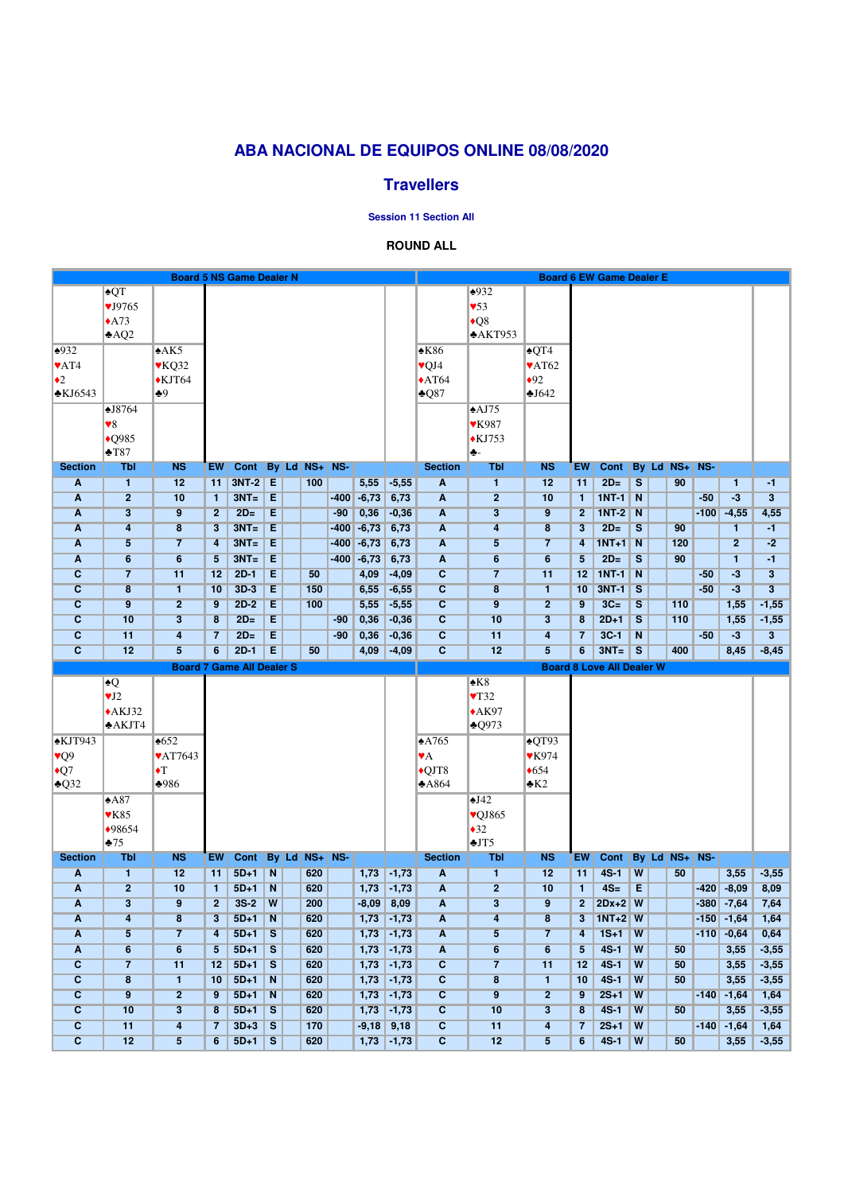## **ABA NACIONAL DE EQUIPOS ONLINE 08/08/2020**

### **Travellers**

**Session 11 Section All**

#### **ROUND ALL**

|                                           | <b>Board 5 NS Game Dealer N</b> |                           |                 |                              |                         |  |            |        |                |                      |                                  | <b>Board 6 EW Game Dealer E</b>    |                           |                 |                                  |                         |              |     |                  |                                |                         |  |
|-------------------------------------------|---------------------------------|---------------------------|-----------------|------------------------------|-------------------------|--|------------|--------|----------------|----------------------|----------------------------------|------------------------------------|---------------------------|-----------------|----------------------------------|-------------------------|--------------|-----|------------------|--------------------------------|-------------------------|--|
|                                           | $\triangle$ QT                  |                           |                 |                              |                         |  |            |        |                |                      |                                  | $\frac{1}{2}932$                   |                           |                 |                                  |                         |              |     |                  |                                |                         |  |
|                                           | $\times$ J $9765$               |                           |                 |                              |                         |  |            |        |                |                      |                                  | $\blacktriangledown$ 53            |                           |                 |                                  |                         |              |     |                  |                                |                         |  |
|                                           | $\triangle$ A73                 |                           |                 |                              |                         |  |            |        |                |                      |                                  | $\triangle$ Q8                     |                           |                 |                                  |                         |              |     |                  |                                |                         |  |
|                                           | AQ2                             |                           |                 |                              |                         |  |            |        |                |                      |                                  | AKT953                             |                           |                 |                                  |                         |              |     |                  |                                |                         |  |
| $\triangle 932$                           |                                 | $*AK5$                    |                 |                              |                         |  |            |        |                |                      | $\triangle$ K86                  |                                    | $\triangle$ QT4           |                 |                                  |                         |              |     |                  |                                |                         |  |
| $\blacktriangledown$ AT4                  |                                 | $\blacktriangledown$ KQ32 |                 |                              |                         |  |            |        |                |                      | $\sqrt{Q}J4$                     |                                    | $\blacktriangledown$ AT62 |                 |                                  |                         |              |     |                  |                                |                         |  |
| $\bullet$ 2                               |                                 | $\blacklozenge$ KJT64     |                 |                              |                         |  |            |        |                |                      | $\triangle$ AT64                 |                                    | $\bullet$ 92              |                 |                                  |                         |              |     |                  |                                |                         |  |
| $\triangle$ KJ6543                        |                                 | $+9$                      |                 |                              |                         |  |            |        |                |                      | $\clubsuit$ Q87                  |                                    | J642                      |                 |                                  |                         |              |     |                  |                                |                         |  |
|                                           | $\triangle$ J8764               |                           |                 |                              |                         |  |            |        |                |                      |                                  | $\triangle$ AJ75                   |                           |                 |                                  |                         |              |     |                  |                                |                         |  |
|                                           | $\blacktriangledown 8$          |                           |                 |                              |                         |  |            |        |                |                      |                                  | <b>▼K987</b>                       |                           |                 |                                  |                         |              |     |                  |                                |                         |  |
|                                           | $\triangle$ Q985                |                           |                 |                              |                         |  |            |        |                |                      |                                  | $*$ KJ753                          |                           |                 |                                  |                         |              |     |                  |                                |                         |  |
|                                           | $+T87$                          |                           |                 |                              |                         |  |            |        |                |                      |                                  | ♣-                                 |                           |                 |                                  |                         |              |     |                  |                                |                         |  |
| <b>Section</b>                            | <b>Tbl</b>                      | <b>NS</b>                 | <b>EW</b>       | Cont By Ld NS+ NS-           |                         |  |            |        |                |                      | <b>Section</b>                   | <b>Tbl</b>                         | <b>NS</b>                 | <b>EW</b>       | <b>Cont</b>                      |                         | <b>By Ld</b> |     | <b>NS+   NS-</b> |                                |                         |  |
| $\overline{\mathbf{A}}$                   | $\mathbf{1}$                    | 12                        | 11              | 3NT-2 E                      |                         |  | 100        |        | 5,55           | $-5,55$              | $\overline{\mathbf{A}}$          | $\blacksquare$                     | 12                        | 11              | $2D=$                            | $\overline{\mathbf{s}}$ |              | 90  |                  | $\mathbf{1}$                   | $-1$                    |  |
| $\blacktriangle$                          | $\overline{2}$                  | 10                        | $\mathbf{1}$    | $3NT =$                      | IΕ                      |  |            |        | $-400$ $-6,73$ | 6,73                 | $\overline{\mathbf{A}}$          | $\overline{2}$                     | 10                        | $\mathbf{1}$    | $1NT-1$                          | $\overline{\mathsf{N}}$ |              |     | $-50$            | $-3$                           | $\overline{3}$          |  |
| A                                         | $\overline{\mathbf{3}}$         | $\overline{9}$            | $\overline{2}$  | $2D=$                        | Ε                       |  |            | $-90$  | 0,36           | $-0,36$              | $\overline{\mathbf{A}}$          | $\overline{\mathbf{3}}$            | $\overline{9}$            | $\mathbf{2}$    | <b>1NT-2</b>                     | $\overline{\mathsf{N}}$ |              |     | $-100$           | $-4,55$                        | 4,55                    |  |
| $\overline{\mathsf{A}}$                   | $\overline{\mathbf{4}}$         | $\overline{\mathbf{8}}$   | 3               | $3NT =$                      | IΕ                      |  |            | $-400$ | $-6,73$        | 6,73                 | $\overline{\mathbf{A}}$          | $\overline{\mathbf{4}}$            | $\overline{\mathbf{8}}$   | $\mathbf{3}$    | $2D=$                            | $\overline{\mathbf{s}}$ |              | 90  |                  | $\mathbf{1}$                   | $-1$                    |  |
| $\overline{\mathsf{A}}$                   | $\overline{5}$                  | $\overline{7}$            | 4               | $3NT =$                      | E                       |  |            | $-400$ | $-6,73$        | 6,73                 | $\overline{\mathbf{A}}$          | $\overline{\mathbf{5}}$            | $\overline{7}$            | 4               | $1NT+1$ N                        |                         |              | 120 |                  | $\overline{2}$                 | $-2$                    |  |
| $\overline{\mathsf{A}}$                   | $6\overline{6}$                 | $6\overline{6}$           | $5\overline{)}$ | $3NT =$                      | ĪΕ                      |  |            | $-400$ | $-6,73$        | 6,73                 | $\overline{\mathbf{A}}$          | $6\overline{6}$                    | $6\phantom{a}$            | $5\overline{)}$ | $2D=$                            | $\overline{\mathbf{s}}$ |              | 90  |                  | $\mathbf{1}$                   | $-1$                    |  |
| $\overline{\mathbf{C}}$                   | $\overline{7}$                  | 11                        | 12              | $2D-1$                       | Ε                       |  | 50         |        | 4,09           | $-4,09$              | $\overline{\mathbf{c}}$          | $\overline{7}$                     | 11                        | 12              | $1NT-1$                          | $\overline{\mathbf{N}}$ |              |     | $-50$            | $-3$                           | $\overline{\mathbf{3}}$ |  |
| $\overline{c}$                            | $\overline{\mathbf{8}}$         | 1.                        | 10              | $3D-3$                       | E                       |  | 150        |        | 6,55           | $-6,55$              | $\overline{c}$                   | $\overline{\mathbf{8}}$            | $\mathbf{1}$              | 10              | $3NT-1$                          | $\overline{\mathbf{s}}$ |              |     | $-50$            | $-3$                           | $\overline{3}$          |  |
| $\overline{\mathbf{C}}$                   | $\overline{9}$                  | $\overline{2}$            | 9               | $2D-2$                       | E                       |  | 100        |        | 5,55           | $-5,55$              | $\overline{c}$                   | $\overline{9}$                     | $\overline{2}$            | 9               | $3C=$                            | $\overline{\mathbf{s}}$ |              | 110 |                  | 1,55                           | $-1,55$                 |  |
| $\overline{\mathbf{c}}$                   | 10                              | $\overline{3}$            | 8               | $2D=$                        | Ε                       |  |            | $-90$  | 0,36           | $-0,36$              | $\overline{c}$                   | 10                                 | $\overline{\mathbf{3}}$   | 8               | $2D+1$                           | $\overline{\mathbf{s}}$ |              | 110 |                  | 1,55                           | $-1,55$                 |  |
| $\overline{\mathbf{C}}$                   | 11                              | $\overline{\mathbf{4}}$   | $\overline{7}$  | $2D=$                        | E                       |  |            | $-90$  | 0,36           | $-0,36$              | $\overline{c}$                   | 11                                 | $\overline{4}$            | $\overline{7}$  | $3C-1$                           | $\overline{\mathsf{N}}$ |              |     | $-50$            | $-3$                           | 3                       |  |
| $\overline{c}$                            | 12                              | $\overline{5}$            | 6               | $2D-1$                       | E                       |  | 50         |        | 4,09           | $-4,09$              | $\overline{\mathbf{C}}$          | 12                                 | $\overline{5}$            | 6               | $3NT =$                          | $\overline{\mathbf{s}}$ |              | 400 |                  | 8,45                           | $-8,45$                 |  |
| <b>Board 7 Game All Dealer S</b>          |                                 |                           |                 |                              |                         |  |            |        |                |                      |                                  |                                    |                           |                 |                                  |                         |              |     |                  |                                |                         |  |
|                                           |                                 |                           |                 |                              |                         |  |            |        |                |                      |                                  |                                    |                           |                 | <b>Board 8 Love All Dealer W</b> |                         |              |     |                  |                                |                         |  |
|                                           | $\blacktriangle Q$              |                           |                 |                              |                         |  |            |        |                |                      |                                  | $\triangle$ K8                     |                           |                 |                                  |                         |              |     |                  |                                |                         |  |
|                                           | $\Psi J2$                       |                           |                 |                              |                         |  |            |        |                |                      |                                  | $\blacktriangledown$ <sub>32</sub> |                           |                 |                                  |                         |              |     |                  |                                |                         |  |
|                                           | $*AKJ32$                        |                           |                 |                              |                         |  |            |        |                |                      |                                  | $*AK97$                            |                           |                 |                                  |                         |              |     |                  |                                |                         |  |
|                                           | AKT4                            |                           |                 |                              |                         |  |            |        |                |                      |                                  | $\triangle Q973$                   |                           |                 |                                  |                         |              |     |                  |                                |                         |  |
| $\triangle$ KJT943                        |                                 | $*652$                    |                 |                              |                         |  |            |        |                |                      | $\triangle$ A765                 |                                    | $\triangle$ QT93          |                 |                                  |                         |              |     |                  |                                |                         |  |
| $\sqrt{\mathbf{Q}}$                       |                                 | <b>VAT7643</b>            |                 |                              |                         |  |            |        |                |                      | $\mathbf{v}$ A                   |                                    | <b>VK974</b>              |                 |                                  |                         |              |     |                  |                                |                         |  |
| $\bigcirc$ 7                              |                                 | $\blacktriangleright$ T   |                 |                              |                         |  |            |        |                |                      | $\bigcirc$ OJT8                  |                                    | $\triangleleft 654$       |                 |                                  |                         |              |     |                  |                                |                         |  |
| $\triangle$ Q32                           |                                 | $*986$                    |                 |                              |                         |  |            |        |                |                      | A864                             |                                    | $\triangle K2$            |                 |                                  |                         |              |     |                  |                                |                         |  |
|                                           | $*A87$                          |                           |                 |                              |                         |  |            |        |                |                      |                                  | $\triangle$ J42                    |                           |                 |                                  |                         |              |     |                  |                                |                         |  |
|                                           | $\blacktriangledown$ K85        |                           |                 |                              |                         |  |            |        |                |                      |                                  | $\sqrt{Q}$ J865                    |                           |                 |                                  |                         |              |     |                  |                                |                         |  |
|                                           | $*98654$                        |                           |                 |                              |                         |  |            |        |                |                      |                                  | $\triangle 32$                     |                           |                 |                                  |                         |              |     |                  |                                |                         |  |
|                                           | $*75$                           |                           |                 |                              |                         |  |            |        |                |                      |                                  | $\times JTS$                       |                           |                 |                                  |                         |              |     |                  |                                |                         |  |
| <b>Section</b><br>$\overline{\mathbf{A}}$ | <b>Tbl</b><br>$\blacksquare$    | <b>NS</b><br>12           | <b>EW</b><br>11 | Cont By Ld NS+ NS-<br>$5D+1$ | $\overline{\mathsf{N}}$ |  | 620        |        | 1,73           | $-1,73$              | <b>Section</b><br>$\overline{A}$ | <b>Tbl</b><br>$\mathbf{1}$         | <b>NS</b><br>12           | <b>EW</b><br>11 | <b>Cont</b><br>$4S-1$            | W                       | <b>By Ld</b> | 50  | <b>NS+ NS-</b>   | 3,55                           | $-3,55$                 |  |
| $\overline{\mathbf{A}}$                   | $\overline{2}$                  | 10                        | $\mathbf{1}$    | $5D+1$                       | $\overline{\mathsf{N}}$ |  | 620        |        | 1,73           | $-1,73$              | $\overline{\mathbf{A}}$          | $\overline{2}$                     | 10                        | $\mathbf{1}$    | $4S=$                            | Ε                       |              |     |                  | $-420 - 8,09$                  | 8,09                    |  |
| $\overline{\mathsf{A}}$                   | $\overline{\mathbf{3}}$         | 9                         | $\mathbf{2}$    | $3S-2$                       | $\overline{\mathbf{W}}$ |  | 200        |        |                |                      | $\overline{\mathbf{A}}$          | $\overline{\mathbf{3}}$            | 9                         | 2 <sup>1</sup>  | $2Dx+2$ W                        |                         |              |     |                  |                                |                         |  |
| $\overline{\mathsf{A}}$                   | $\overline{4}$                  | $\overline{\mathbf{8}}$   | 3               | $5D+1$                       | $\overline{\mathsf{N}}$ |  | 620        |        | $-8,09$        | 8,09<br>$1,73$ -1,73 | $\overline{\mathbf{A}}$          | $\overline{\mathbf{4}}$            | $\overline{\mathbf{8}}$   | 3               | $1NT+2$ W                        |                         |              |     |                  | $-380 - 7,64$<br>$-150 - 1,64$ | 7,64<br>1,64            |  |
| $\overline{\mathsf{A}}$                   | $\overline{5}$                  | $\overline{7}$            | 4               | $5D+1$                       | $\overline{\mathbf{s}}$ |  | 620        |        | 1,73           | $-1,73$              | $\overline{\mathbf{A}}$          | $\overline{5}$                     | $\overline{7}$            | 4               | $1S+1$                           | $\overline{\mathbf{w}}$ |              |     | $-110$           | $-0,64$                        | 0,64                    |  |
| $\overline{\mathbf{A}}$                   | $6\overline{6}$                 | $6\overline{6}$           | $5\overline{)}$ | $5D+1$                       | $\overline{\mathbf{s}}$ |  | 620        |        | 1,73           | $-1,73$              | $\overline{\mathbf{A}}$          | $6\overline{6}$                    | $6\overline{6}$           | 5               | $4S-1$                           | $\overline{\mathbf{W}}$ |              | 50  |                  | 3,55                           | $-3,55$                 |  |
| $\overline{c}$                            | $\overline{7}$                  | 11                        | 12              | $5D+1$                       | $\overline{\mathbf{s}}$ |  | 620        |        | 1,73           | $\sqrt{-1,73}$       | $\overline{c}$                   | $\overline{7}$                     | 11                        | 12              | $4S-1$                           | $\overline{\mathbf{w}}$ |              | 50  |                  | 3,55                           | $-3,55$                 |  |
| $\overline{\mathbf{c}}$                   | $\overline{\mathbf{8}}$         | $\mathbf{1}$              | 10              | $5D+1$                       | $\overline{\mathsf{N}}$ |  | 620        |        | 1,73           | $-1,73$              | $\overline{c}$                   | $\overline{\mathbf{8}}$            | $\mathbf{1}$              | 10              | $4S-1$                           | $\overline{w}$          |              | 50  |                  | 3,55                           | $-3,55$                 |  |
| $\overline{\mathbf{c}}$                   | 9                               | $\overline{2}$            | $9\phantom{.0}$ | $5D+1$                       | $\overline{\mathsf{N}}$ |  | 620        |        | 1,73           | $-1,73$              | $\overline{\mathbf{c}}$          | $\overline{9}$                     | $\overline{2}$            | 9               | $2S+1$                           | $\overline{\mathbf{W}}$ |              |     |                  | $-140$ $-1,64$                 | 1,64                    |  |
| $\overline{c}$                            | 10                              | $\overline{3}$            | 8               | $5D+1$                       | $\overline{\mathbf{s}}$ |  | 620        |        | 1,73           | $-1,73$              | $\overline{c}$                   | 10                                 | $\overline{\mathbf{3}}$   | 8               | $4S-1$                           | $\overline{\mathbf{W}}$ |              | 50  |                  | 3,55                           | $-3,55$                 |  |
| $\overline{\mathbf{c}}$                   | 11                              | $\overline{\mathbf{4}}$   | $\mathbf{7}$    | $3D+3$                       | $\overline{\mathbf{s}}$ |  | <b>170</b> |        | $-9,18$        | 9,18                 | $\overline{\mathbf{c}}$          | 11                                 | $\overline{4}$            | $\overline{7}$  | $2S+1$                           | $\overline{\mathbf{W}}$ |              |     |                  | $-140$ $-1,64$                 | 1,64                    |  |